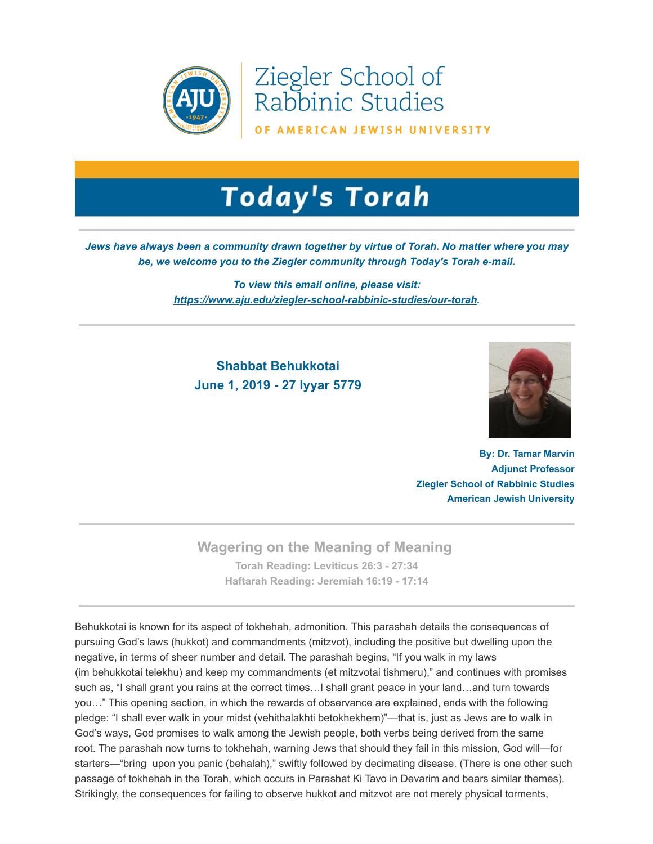

Ziegler School of Rabbinic Studies

OF AMERICAN JEWISH UNIVERSITY

# **Today's Torah**

### *Jews have always been a community drawn together by virtue of Torah. No matter where you may be, we welcome you to the Ziegler community through Today's Torah e-mail.*

*To view this email online, please visit: [https://www.aju.edu/ziegler-school-rabbinic-studies/our-torah.](https://t.e2ma.net/click/szexlb/sziwr0/4oevjj)*

## **Shabbat Behukkotai June 1, 2019 - 27 Iyyar 5779**



**By: Dr. Tamar Marvin Adjunct Professor Ziegler School of Rabbinic Studies American Jewish University**

### **Wagering on the Meaning of Meaning**

**Torah Reading: [Leviticus 26:3 - 27:34](https://t.e2ma.net/click/szexlb/sziwr0/khfvjj) Haftarah Reading: [Jeremiah 16:19 - 17:14](https://t.e2ma.net/click/szexlb/sziwr0/09fvjj)**

Behukkotai is known for its aspect of tokhehah, admonition. This parashah details the consequences of pursuing God's laws (hukkot) and commandments (mitzvot), including the positive but dwelling upon the negative, in terms of sheer number and detail. The parashah begins, "If you walk in my laws (im behukkotai telekhu) and keep my commandments (et mitzvotai tishmeru)," and continues with promises such as, "I shall grant you rains at the correct times…I shall grant peace in your land…and turn towards you…" This opening section, in which the rewards of observance are explained, ends with the following pledge: "I shall ever walk in your midst (vehithalakhti betokhekhem)"—that is, just as Jews are to walk in God's ways, God promises to walk among the Jewish people, both verbs being derived from the same root. The parashah now turns to tokhehah, warning Jews that should they fail in this mission, God will—for starters—"bring upon you panic (behalah)," swiftly followed by decimating disease. (There is one other such passage of tokhehah in the Torah, which occurs in Parashat Ki Tavo in Devarim and bears similar themes). Strikingly, the consequences for failing to observe hukkot and mitzvot are not merely physical torments,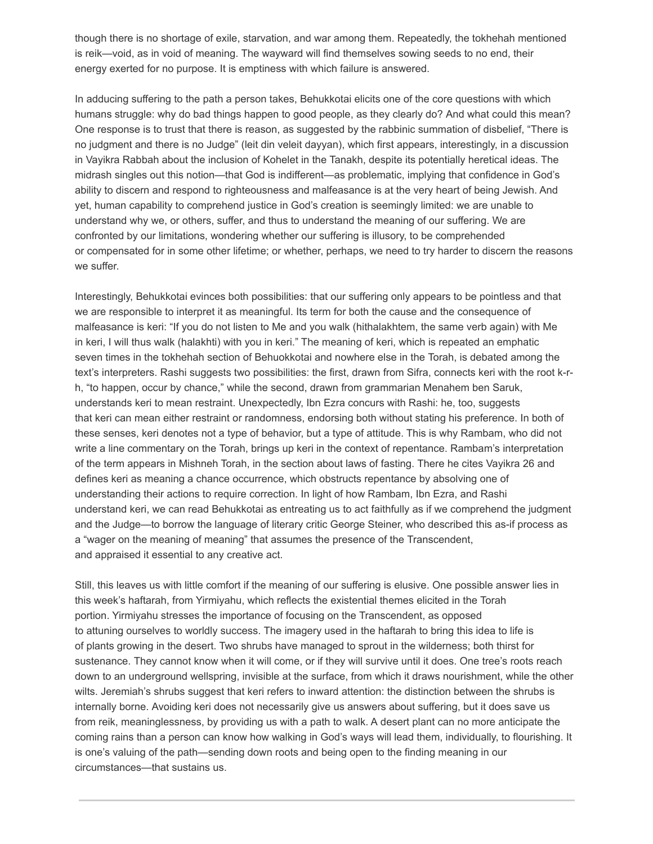though there is no shortage of exile, starvation, and war among them. Repeatedly, the tokhehah mentioned is reik—void, as in void of meaning. The wayward will find themselves sowing seeds to no end, their energy exerted for no purpose. It is emptiness with which failure is answered.

In adducing suffering to the path a person takes, Behukkotai elicits one of the core questions with which humans struggle: why do bad things happen to good people, as they clearly do? And what could this mean? One response is to trust that there is reason, as suggested by the rabbinic summation of disbelief, "There is no judgment and there is no Judge" (leit din veleit dayyan), which first appears, interestingly, in a discussion in Vayikra Rabbah about the inclusion of Kohelet in the Tanakh, despite its potentially heretical ideas. The midrash singles out this notion—that God is indifferent—as problematic, implying that confidence in God's ability to discern and respond to righteousness and malfeasance is at the very heart of being Jewish. And yet, human capability to comprehend justice in God's creation is seemingly limited: we are unable to understand why we, or others, suffer, and thus to understand the meaning of our suffering. We are confronted by our limitations, wondering whether our suffering is illusory, to be comprehended or compensated for in some other lifetime; or whether, perhaps, we need to try harder to discern the reasons we suffer.

Interestingly, Behukkotai evinces both possibilities: that our suffering only appears to be pointless and that we are responsible to interpret it as meaningful. Its term for both the cause and the consequence of malfeasance is keri: "If you do not listen to Me and you walk (hithalakhtem, the same verb again) with Me in keri, I will thus walk (halakhti) with you in keri." The meaning of keri, which is repeated an emphatic seven times in the tokhehah section of Behuokkotai and nowhere else in the Torah, is debated among the text's interpreters. Rashi suggests two possibilities: the first, drawn from Sifra, connects keri with the root k-rh, "to happen, occur by chance," while the second, drawn from grammarian Menahem ben Saruk, understands keri to mean restraint. Unexpectedly, Ibn Ezra concurs with Rashi: he, too, suggests that keri can mean either restraint or randomness, endorsing both without stating his preference. In both of these senses, keri denotes not a type of behavior, but a type of attitude. This is why Rambam, who did not write a line commentary on the Torah, brings up keri in the context of repentance. Rambam's interpretation of the term appears in Mishneh Torah, in the section about laws of fasting. There he cites Vayikra 26 and defines keri as meaning a chance occurrence, which obstructs repentance by absolving one of understanding their actions to require correction. In light of how Rambam, Ibn Ezra, and Rashi understand keri, we can read Behukkotai as entreating us to act faithfully as if we comprehend the judgment and the Judge—to borrow the language of literary critic George Steiner, who described this as-if process as a "wager on the meaning of meaning" that assumes the presence of the Transcendent, and appraised it essential to any creative act.

Still, this leaves us with little comfort if the meaning of our suffering is elusive. One possible answer lies in this week's haftarah, from Yirmiyahu, which reflects the existential themes elicited in the Torah portion. Yirmiyahu stresses the importance of focusing on the Transcendent, as opposed to attuning ourselves to worldly success. The imagery used in the haftarah to bring this idea to life is of plants growing in the desert. Two shrubs have managed to sprout in the wilderness; both thirst for sustenance. They cannot know when it will come, or if they will survive until it does. One tree's roots reach down to an underground wellspring, invisible at the surface, from which it draws nourishment, while the other wilts. Jeremiah's shrubs suggest that keri refers to inward attention: the distinction between the shrubs is internally borne. Avoiding keri does not necessarily give us answers about suffering, but it does save us from reik, meaninglessness, by providing us with a path to walk. A desert plant can no more anticipate the coming rains than a person can know how walking in God's ways will lead them, individually, to flourishing. It is one's valuing of the path—sending down roots and being open to the finding meaning in our circumstances—that sustains us.